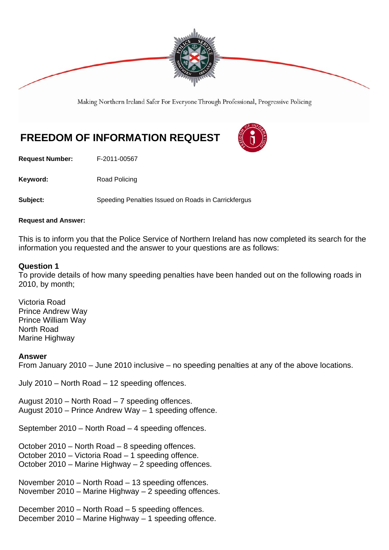

Making Northern Ireland Safer For Everyone Through Professional, Progressive Policing

# **FREEDOM OF INFORMATION REQUEST**

**Request Number:** F-2011-00567

Keyword: Road Policing

**Subject:** Speeding Penalties Issued on Roads in Carrickfergus

#### **Request and Answer:**

This is to inform you that the Police Service of Northern Ireland has now completed its search for the information you requested and the answer to your questions are as follows:

### **Question 1**

To provide details of how many speeding penalties have been handed out on the following roads in 2010, by month;

Victoria Road Prince Andrew Way Prince William Way North Road Marine Highway

#### **Answer**

From January 2010 – June 2010 inclusive – no speeding penalties at any of the above locations.

July 2010 – North Road – 12 speeding offences.

August 2010 – North Road – 7 speeding offences. August 2010 – Prince Andrew Way – 1 speeding offence.

September 2010 – North Road – 4 speeding offences.

October 2010 – North Road – 8 speeding offences. October 2010 – Victoria Road – 1 speeding offence. October 2010 – Marine Highway – 2 speeding offences.

November 2010 – North Road – 13 speeding offences. November 2010 – Marine Highway – 2 speeding offences.

December 2010 – North Road – 5 speeding offences. December 2010 – Marine Highway – 1 speeding offence.